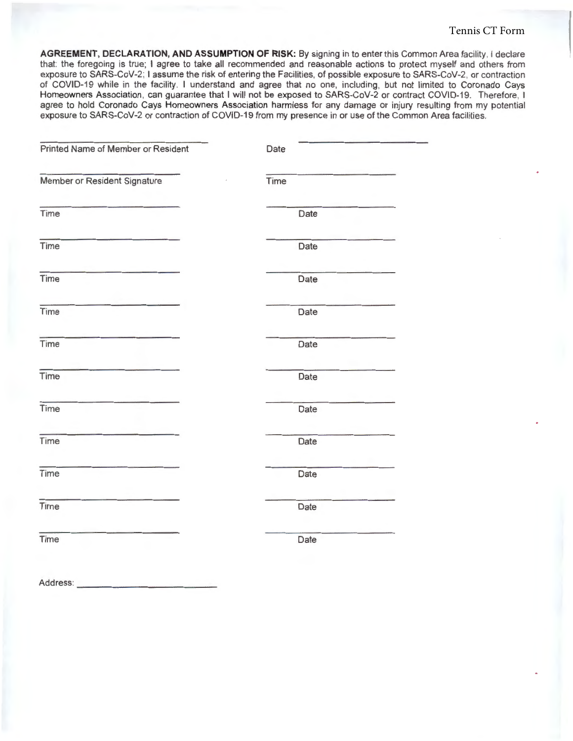## Tennis CT Form

**AGREEMENT, DECLARATION, AND ASSUMPTION OF RISK:** By signing in to enter this Common Area facility , I declare that: the foregoing is true; I agree to take all recommended and reasonable actions to protect myself and others from exposure to SARS-CoV-2; I assume the risk of entering the Facilities, of possible exposure to SARS-CoV-2, or contraction of COVID-19 while in the facility. I understand and agree that no one, including, but not limited to Coronado Cays Homeowners Association, can guarantee that I will not be exposed to SARS-CoV-2 or contract COVID-19. Therefore, I agree to hold Coronado Cays Homeowners Association harmless for any damage or injury resulting from my potential exposure to SARS-CoV-2 or contraction of COVID-19 from my presence in or use of the Common Area facilities.

| Printed Name of Member or Resident | Date |  |
|------------------------------------|------|--|
| Member or Resident Signature       | Time |  |
| Time                               | Date |  |
| Time                               | Date |  |
| Time                               | Date |  |
| Time                               | Date |  |
| Time                               | Date |  |
| Time                               | Date |  |
| Time                               | Date |  |
| Time                               | Date |  |
| Time                               | Date |  |
| Time                               | Date |  |
| Time                               | Date |  |
|                                    |      |  |

Address: